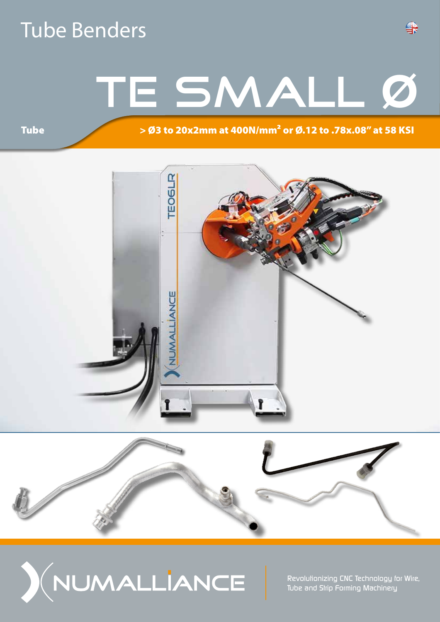### Tube Benders

# TE SMALL Ø

### > Ø3 to 20x2mm at 400N/mm² or Ø.12 to .78x.08" at 58 KSI

**Tube** 







*Revolutionizing CNC Technology for Wire, Tube and Strip Forming Machinery*